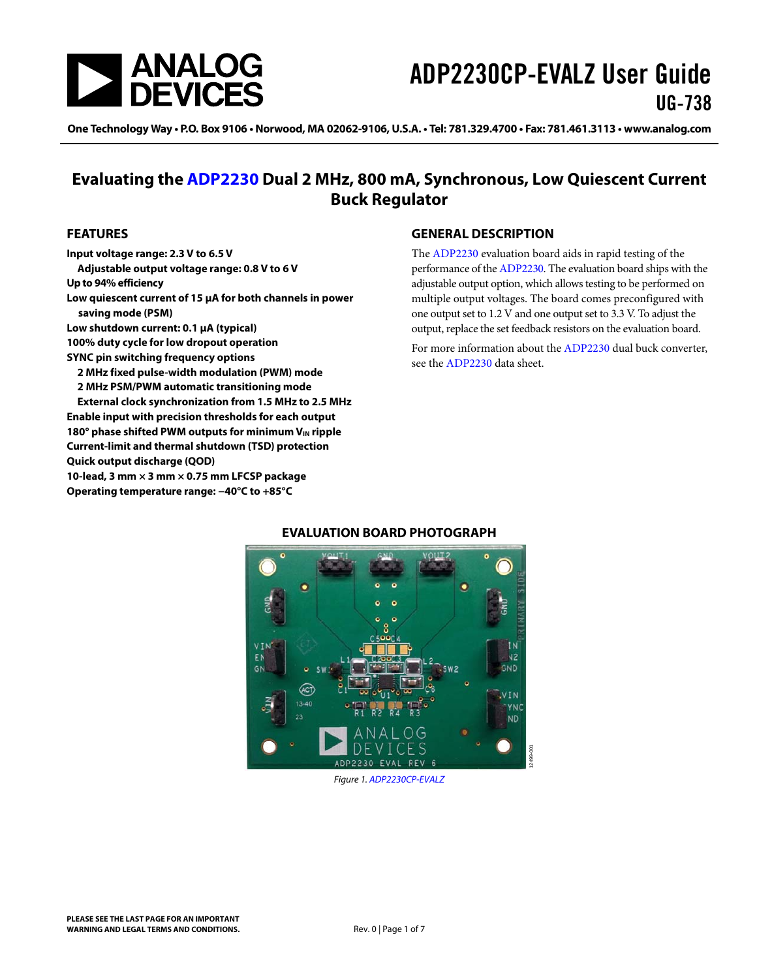

# ADP2230CP-EVALZ User Guide UG-738

One Technology Way • P.O. Box 9106 • Norwood, MA 02062-9106, U.S.A. • Tel: 781.329.4700 • Fax: 781.461.3113 • www.analog.com

### **Evaluating the [ADP2230](http://www.analog.com/ADP2230?doc=ADP2230CP-EVALZ_UG-738.pdf) Dual 2 MHz, 800 mA, Synchronous, Low Quiescent Current Buck Regulator**

#### <span id="page-0-0"></span>**FEATURES**

**Input voltage range: 2.3 V to 6.5 V Adjustable output voltage range: 0.8 V to 6 V Up to 94% efficiency Low quiescent current of 15 μA for both channels in power saving mode (PSM) Low shutdown current: 0.1 μA (typical) 100% duty cycle for low dropout operation SYNC pin switching frequency options 2 MHz fixed pulse-width modulation (PWM) mode 2 MHz PSM/PWM automatic transitioning mode External clock synchronization from 1.5 MHz to 2.5 MHz Enable input with precision thresholds for each output**  180° phase shifted PWM outputs for minimum V<sub>IN</sub> ripple **Current-limit and thermal shutdown (TSD) protection Quick output discharge (QOD) 10-lead, 3 mm × 3 mm × 0.75 mm LFCSP package Operating temperature range: −40°C to +85°C** 

#### <span id="page-0-1"></span>**GENERAL DESCRIPTION**

The [ADP2230](http://www.analog.com/ADP2230?doc=ADP2230CP-EVALZ_UG-738.pdf) evaluation board aids in rapid testing of the performance of th[e ADP2230.](http://www.analog.com/ADP2230?doc=ADP2230CP-EVALZ_UG-738.pdf) The evaluation board ships with the adjustable output option, which allows testing to be performed on multiple output voltages. The board comes preconfigured with one output set to 1.2 V and one output set to 3.3 V. To adjust the output, replace the set feedback resistors on the evaluation board.

For more information about th[e ADP2230 d](http://www.analog.com/ADP2230?doc=ADP2230CP-EVALZ_UG-738.pdf)ual buck converter, see the [ADP2230](http://www.analog.com/ADP2230?doc=ADP2230CP-EVALZ_UG-738.pdf) data sheet.

<span id="page-0-2"></span>

#### **EVALUATION BOARD PHOTOGRAPH**

Figure 1[. ADP2230CP-EVALZ](http://www.analog.com/ADP2230?doc=ADP2230CP-EVALZ_UG-738.pdf)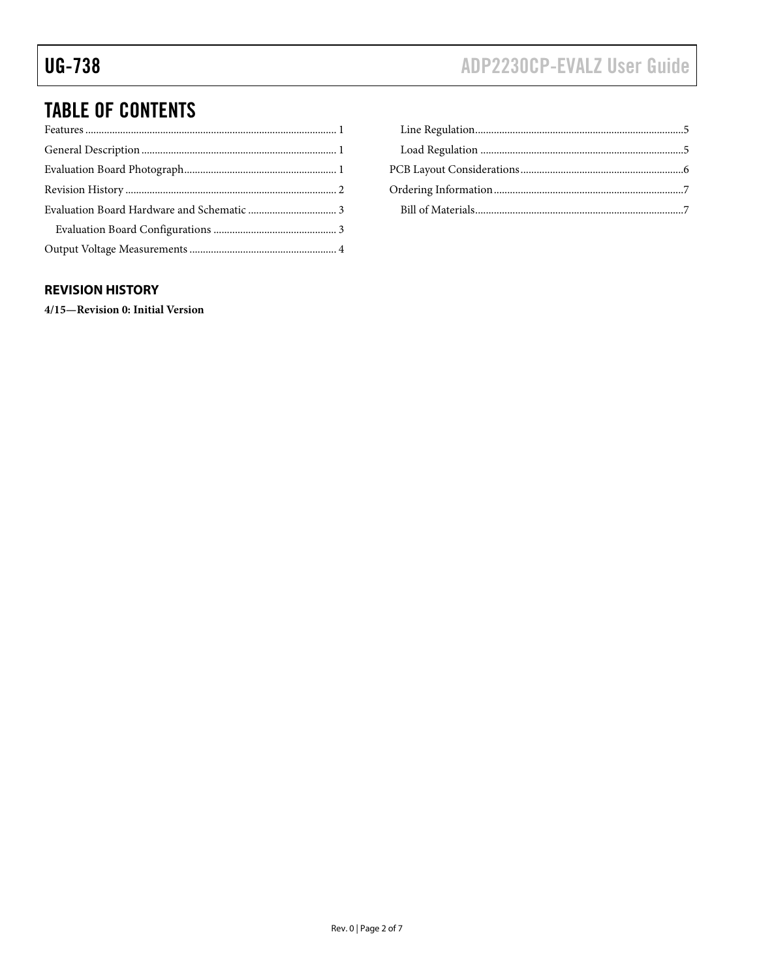## TABLE OF CONTENTS

#### <span id="page-1-0"></span>**REVISION HISTORY**

**4/15—Revision 0: Initial Version**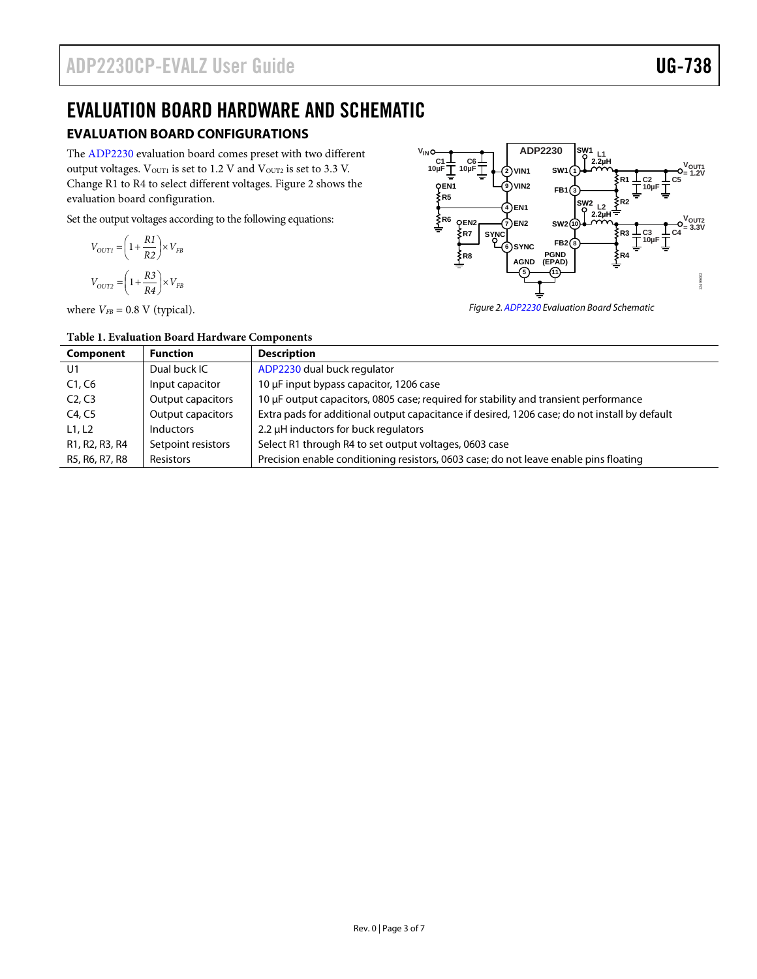### <span id="page-2-0"></span>EVALUATION BOARD HARDWARE AND SCHEMATIC

### <span id="page-2-1"></span>**EVALUATION BOARD CONFIGURATIONS**

The [ADP2230](http://www.analog.com/ADP2230?doc=ADP2230CP-EVALZ_UG-738.pdf) evaluation board comes preset with two different output voltages. V<sub>OUT1</sub> is set to 1.2 V and V<sub>OUT2</sub> is set to 3.3 V. Change R1 to R4 to select different voltages[. Figure 2](#page-2-2) shows the evaluation board configuration.

Set the output voltages according to the following equations:

$$
V_{OUTI} = \left(1 + \frac{R1}{R2}\right) \times V_{FB}
$$
  

$$
V_{OUT2} = \left(1 + \frac{R3}{R4}\right) \times V_{FB}
$$

where  $V_{FB} = 0.8$  V (typical).



<span id="page-2-2"></span>*Figure 2[. ADP2230](http://www.analog.com/ADP2230?doc=ADP2230CP-EVALZ_UG-738.pdf) Evaluation Board Schematic*

| Component                                                         | <b>Function</b>          | <b>Description</b>                                                                            |
|-------------------------------------------------------------------|--------------------------|-----------------------------------------------------------------------------------------------|
| U <sub>1</sub>                                                    | Dual buck IC             | ADP2230 dual buck regulator                                                                   |
| C1, C6                                                            | Input capacitor          | 10 µF input bypass capacitor, 1206 case                                                       |
| C <sub>2</sub> , C <sub>3</sub>                                   | <b>Output capacitors</b> | 10 µF output capacitors, 0805 case; required for stability and transient performance          |
| C4, C5                                                            | <b>Output capacitors</b> | Extra pads for additional output capacitance if desired, 1206 case; do not install by default |
| L1, L2                                                            | <b>Inductors</b>         | 2.2 µH inductors for buck regulators                                                          |
| R <sub>1</sub> , R <sub>2</sub> , R <sub>3</sub> , R <sub>4</sub> | Setpoint resistors       | Select R1 through R4 to set output voltages, 0603 case                                        |
| R5, R6, R7, R8                                                    | Resistors                | Precision enable conditioning resistors, 0603 case; do not leave enable pins floating         |

**Table 1. Evaluation Board Hardware Components**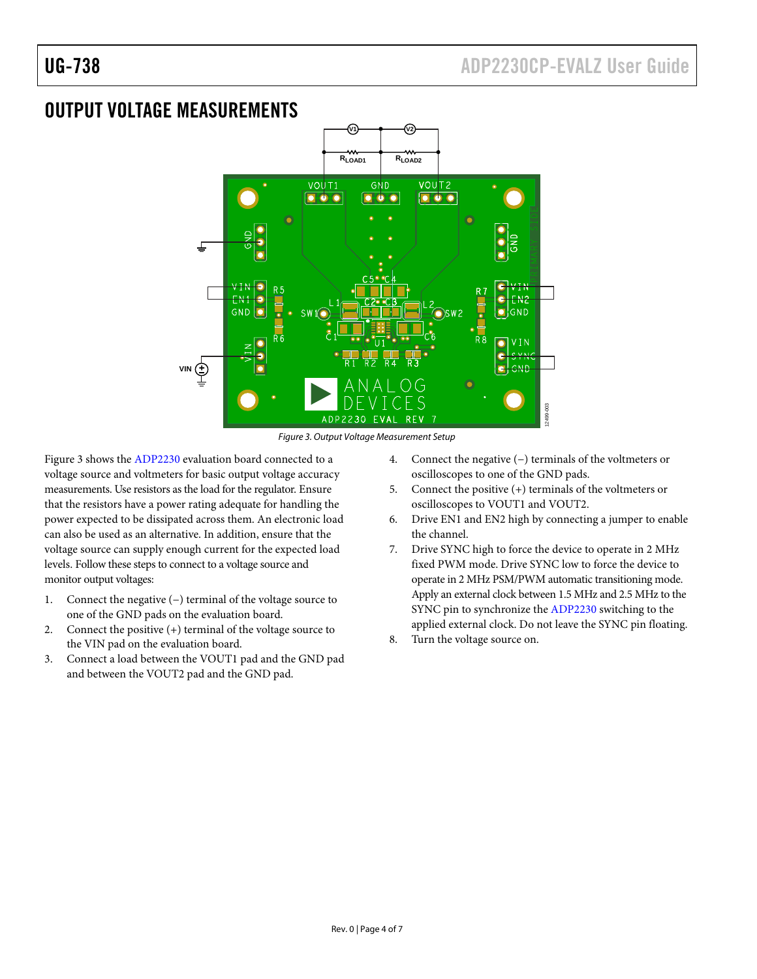### <span id="page-3-0"></span>OUTPUT VOLTAGE MEASUREMENTS



Figure 3. Output Voltage Measurement Setup

<span id="page-3-1"></span>[Figure 3](#page-3-1) shows th[e ADP2230 e](http://www.analog.com/ADP2230?doc=ADP2230CP-EVALZ_UG-738.pdf)valuation board connected to a voltage source and voltmeters for basic output voltage accuracy measurements. Use resistors as the load for the regulator. Ensure that the resistors have a power rating adequate for handling the power expected to be dissipated across them. An electronic load can also be used as an alternative. In addition, ensure that the voltage source can supply enough current for the expected load levels. Follow these steps to connect to a voltage source and monitor output voltages:

- 1. Connect the negative (−) terminal of the voltage source to one of the GND pads on the evaluation board.
- 2. Connect the positive (+) terminal of the voltage source to the VIN pad on the evaluation board.
- 3. Connect a load between the VOUT1 pad and the GND pad and between the VOUT2 pad and the GND pad.
- 4. Connect the negative (−) terminals of the voltmeters or oscilloscopes to one of the GND pads.
- 5. Connect the positive (+) terminals of the voltmeters or oscilloscopes to VOUT1 and VOUT2.
- 6. Drive EN1 and EN2 high by connecting a jumper to enable the channel.
- 7. Drive SYNC high to force the device to operate in 2 MHz fixed PWM mode. Drive SYNC low to force the device to operate in 2 MHz PSM/PWM automatic transitioning mode. Apply an external clock between 1.5 MHz and 2.5 MHz to the SYNC pin to synchronize th[e ADP2230 s](http://www.analog.com/ADP2230?doc=ADP2230CP-EVALZ_UG-738.pdf)witching to the applied external clock. Do not leave the SYNC pin floating.
- 8. Turn the voltage source on.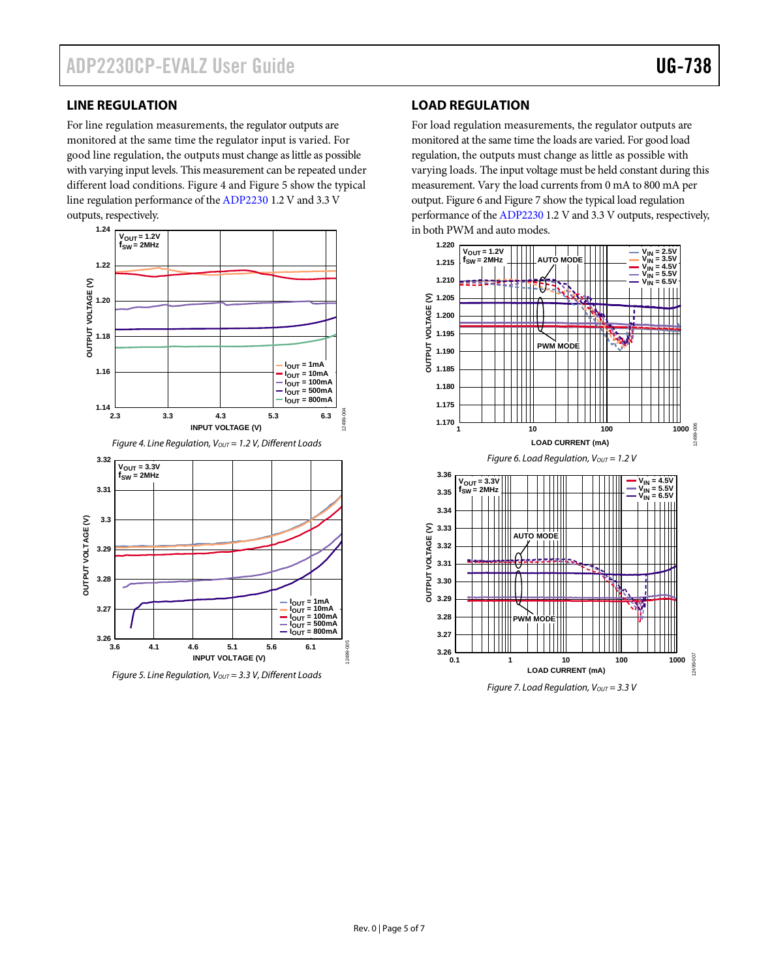#### <span id="page-4-0"></span>**LINE REGULATION**

For line regulation measurements, the regulator outputs are monitored at the same time the regulator input is varied. For good line regulation, the outputs must change as little as possible with varying input levels. This measurement can be repeated under different load conditions. [Figure 4](#page-4-2) an[d Figure 5](#page-4-3) show the typical line regulation performance of th[e ADP2230](http://www.analog.com/ADP2230?doc=ADP2230CP-EVALZ_UG-738.pdf) 1.2 V and 3.3 V outputs, respectively.

<span id="page-4-2"></span>

<span id="page-4-3"></span>*Figure 5. Line Regulation, V<sub>OUT</sub>* = 3.3 V, Different Loads

#### <span id="page-4-1"></span>**LOAD REGULATION**

For load regulation measurements, the regulator outputs are monitored at the same time the loads are varied. For good load regulation, the outputs must change as little as possible with varying loads. The input voltage must be held constant during this measurement. Vary the load currents from 0 mA to 800 mA per output[. Figure 6](#page-4-4) an[d Figure 7](#page-4-5) show the typical load regulation performance of th[e ADP2230](http://www.analog.com/ADP2230?doc=ADP2230CP-EVALZ_UG-738.pdf) 1.2 V and 3.3 V outputs, respectively, in both PWM and auto modes.

<span id="page-4-4"></span>

<span id="page-4-5"></span>*Figure 7. Load Regulation, Vout* = 3.3 V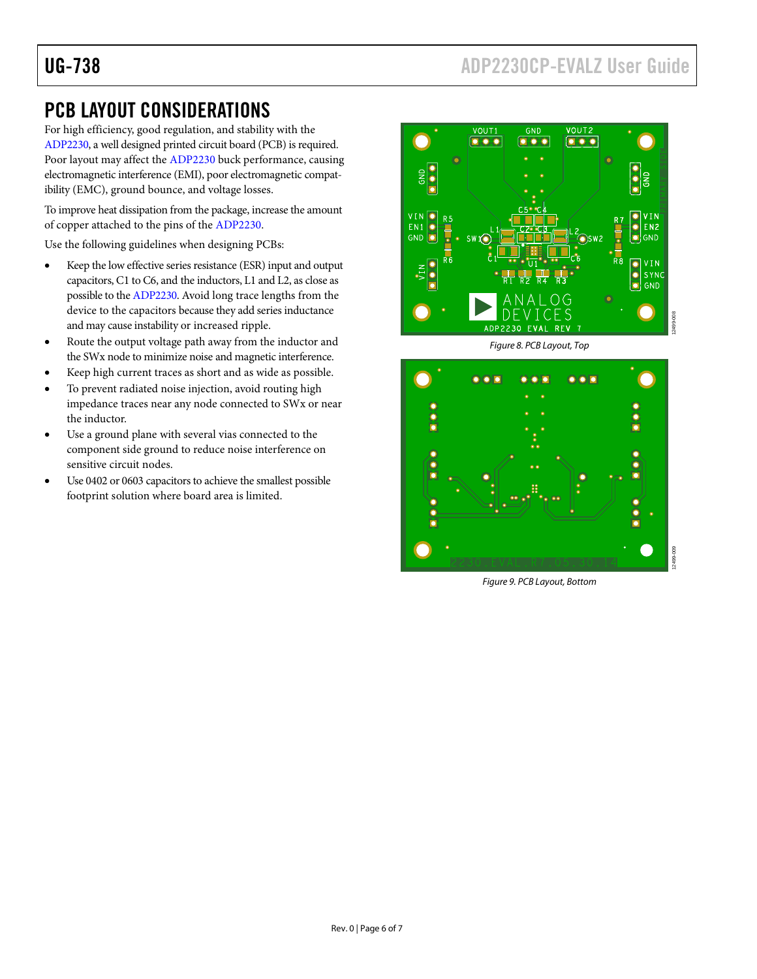## <span id="page-5-0"></span>PCB LAYOUT CONSIDERATIONS

For high efficiency, good regulation, and stability with the [ADP2230,](http://www.analog.com/ADP2230?doc=ADP2230CP-EVALZ_UG-738.pdf) a well designed printed circuit board (PCB) is required. Poor layout may affect the [ADP2230](http://www.analog.com/ADP2230?doc=ADP2230CP-EVALZ_UG-738.pdf) buck performance, causing electromagnetic interference (EMI), poor electromagnetic compatibility (EMC), ground bounce, and voltage losses.

To improve heat dissipation from the package, increase the amount of copper attached to the pins of th[e ADP2230.](http://www.analog.com/ADP2230?doc=ADP2230CP-EVALZ_UG-738.pdf)

Use the following guidelines when designing PCBs:

- Keep the low effective series resistance (ESR) input and output capacitors, C1 to C6, and the inductors, L1 and L2, as close as possible to th[e ADP2230.](http://www.analog.com/ADP2230?doc=ADP2230CP-EVALZ_UG-738.pdf) Avoid long trace lengths from the device to the capacitors because they add series inductance and may cause instability or increased ripple.
- Route the output voltage path away from the inductor and the SWx node to minimize noise and magnetic interference.
- Keep high current traces as short and as wide as possible.
- To prevent radiated noise injection, avoid routing high impedance traces near any node connected to SWx or near the inductor.
- Use a ground plane with several vias connected to the component side ground to reduce noise interference on sensitive circuit nodes.
- Use 0402 or 0603 capacitors to achieve the smallest possible footprint solution where board area is limited.



*Figure 8. PCB Layout, Top*



*Figure 9. PCB Layout, Bottom*